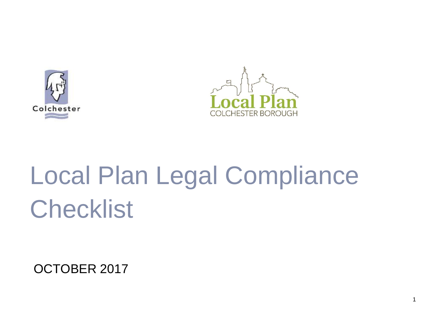



# Local Plan Legal Compliance **Checklist**

OCTOBER 2017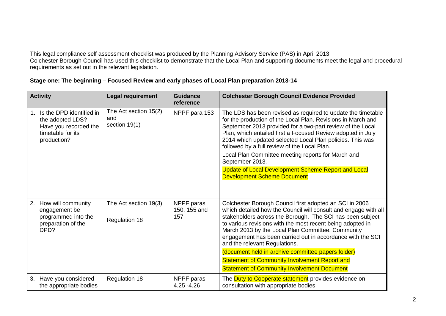This legal compliance self assessment checklist was produced by the Planning Advisory Service (PAS) in April 2013. Colchester Borough Council has used this checklist to demonstrate that the Local Plan and supporting documents meet the legal and procedural requirements as set out in the relevant legislation.

|         | <b>Activity</b>                                                                                           | <b>Legal requirement</b>                      | <b>Guidance</b><br>reference      | <b>Colchester Borough Council Evidence Provided</b>                                                                                                                                                                                                                                                                                                                                                                                                                                                                                                                           |
|---------|-----------------------------------------------------------------------------------------------------------|-----------------------------------------------|-----------------------------------|-------------------------------------------------------------------------------------------------------------------------------------------------------------------------------------------------------------------------------------------------------------------------------------------------------------------------------------------------------------------------------------------------------------------------------------------------------------------------------------------------------------------------------------------------------------------------------|
| $1_{-}$ | Is the DPD identified in<br>the adopted LDS?<br>Have you recorded the<br>timetable for its<br>production? | The Act section 15(2)<br>and<br>section 19(1) | NPPF para 153                     | The LDS has been revised as required to update the timetable<br>for the production of the Local Plan. Revisions in March and<br>September 2013 provided for a two-part review of the Local<br>Plan, which entailed first a Focused Review adopted in July<br>2014 which updated selected Local Plan policies. This was<br>followed by a full review of the Local Plan.<br>Local Plan Committee meeting reports for March and<br>September 2013.<br><b>Update of Local Development Scheme Report and Local</b><br><b>Development Scheme Document</b>                           |
| 2.      | How will community<br>engagement be<br>programmed into the<br>preparation of the<br>DPD?                  | The Act section 19(3)<br><b>Regulation 18</b> | NPPF paras<br>150, 155 and<br>157 | Colchester Borough Council first adopted an SCI in 2006<br>which detailed how the Council will consult and engage with all<br>stakeholders across the Borough. The SCI has been subject<br>to various revisions with the most recent being adopted in<br>March 2013 by the Local Plan Committee. Community<br>engagement has been carried out in accordance with the SCI<br>and the relevant Regulations.<br>(document held in archive committee papers folder)<br><b>Statement of Community Involvement Report and</b><br><b>Statement of Community Involvement Document</b> |
| 3.      | Have you considered<br>the appropriate bodies                                                             | <b>Regulation 18</b>                          | NPPF paras<br>$4.25 - 4.26$       | The Duty to Cooperate statement provides evidence on<br>consultation with appropriate bodies                                                                                                                                                                                                                                                                                                                                                                                                                                                                                  |

#### **Stage one: The beginning – Focused Review and early phases of Local Plan preparation 2013-14**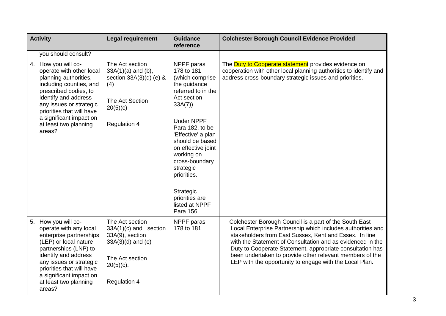|    | <b>Activity</b>                                                                                                                                                                                                                                                            | <b>Legal requirement</b>                                                                                                                       | <b>Guidance</b><br>reference                                                                                                                                                                                                                                                                                                               | <b>Colchester Borough Council Evidence Provided</b>                                                                                                                                                                                                                                                                                                                                                                               |
|----|----------------------------------------------------------------------------------------------------------------------------------------------------------------------------------------------------------------------------------------------------------------------------|------------------------------------------------------------------------------------------------------------------------------------------------|--------------------------------------------------------------------------------------------------------------------------------------------------------------------------------------------------------------------------------------------------------------------------------------------------------------------------------------------|-----------------------------------------------------------------------------------------------------------------------------------------------------------------------------------------------------------------------------------------------------------------------------------------------------------------------------------------------------------------------------------------------------------------------------------|
|    | you should consult?                                                                                                                                                                                                                                                        |                                                                                                                                                |                                                                                                                                                                                                                                                                                                                                            |                                                                                                                                                                                                                                                                                                                                                                                                                                   |
|    | 4. How you will co-<br>operate with other local<br>planning authorities,<br>including counties, and<br>prescribed bodies, to<br>identify and address<br>any issues or strategic<br>priorities that will have<br>a significant impact on<br>at least two planning<br>areas? | The Act section<br>$33A(1)(a)$ and (b),<br>section 33A(3)(d) (e) &<br>(4)<br>The Act Section<br>20(5)(c)<br><b>Regulation 4</b>                | NPPF paras<br>178 to 181<br>(which comprise<br>the guidance<br>referred to in the<br>Act section<br>33A(7)<br><b>Under NPPF</b><br>Para 182, to be<br>'Effective' a plan<br>should be based<br>on effective joint<br>working on<br>cross-boundary<br>strategic<br>priorities.<br>Strategic<br>priorities are<br>listed at NPPF<br>Para 156 | The Duty to Cooperate statement provides evidence on<br>cooperation with other local planning authorities to identify and<br>address cross-boundary strategic issues and priorities.                                                                                                                                                                                                                                              |
| 5. | How you will co-<br>operate with any local<br>enterprise partnerships<br>(LEP) or local nature<br>partnerships (LNP) to<br>identify and address<br>any issues or strategic<br>priorities that will have<br>a significant impact on<br>at least two planning<br>areas?      | The Act section<br>$33A(1)(c)$ and section<br>33A(9), section<br>$33A(3)(d)$ and (e)<br>The Act section<br>$20(5)(c)$ .<br><b>Regulation 4</b> | NPPF paras<br>178 to 181                                                                                                                                                                                                                                                                                                                   | Colchester Borough Council is a part of the South East<br>Local Enterprise Partnership which includes authorities and<br>stakeholders from East Sussex, Kent and Essex. In line<br>with the Statement of Consultation and as evidenced in the<br>Duty to Cooperate Statement, appropriate consultation has<br>been undertaken to provide other relevant members of the<br>LEP with the opportunity to engage with the Local Plan. |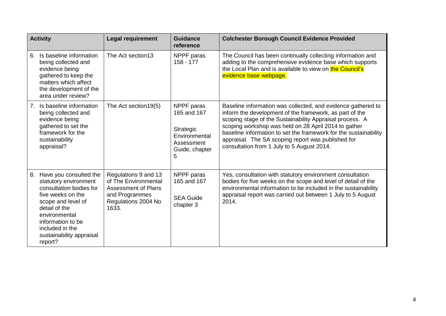|                | <b>Activity</b>                                                                                                                                                                                                                        | <b>Legal requirement</b>                                                                                                     | <b>Guidance</b><br>reference                                                                 | <b>Colchester Borough Council Evidence Provided</b>                                                                                                                                                                                                                                                                                                                                                                 |
|----------------|----------------------------------------------------------------------------------------------------------------------------------------------------------------------------------------------------------------------------------------|------------------------------------------------------------------------------------------------------------------------------|----------------------------------------------------------------------------------------------|---------------------------------------------------------------------------------------------------------------------------------------------------------------------------------------------------------------------------------------------------------------------------------------------------------------------------------------------------------------------------------------------------------------------|
| 6.             | Is baseline information<br>being collected and<br>evidence being<br>gathered to keep the<br>matters which affect<br>the development of the<br>area under review?                                                                       | The Act section13                                                                                                            | NPPF paras<br>158 - 177                                                                      | The Council has been continually collecting information and<br>adding to the comprehensive evidence base which supports<br>the Local Plan and is available to view on the Council's<br>evidence base webpage.                                                                                                                                                                                                       |
| 7 <sub>1</sub> | Is baseline information<br>being collected and<br>evidence being<br>gathered to set the<br>framework for the<br>sustainability<br>appraisal?                                                                                           | The Act section 19(5)                                                                                                        | NPPF paras<br>165 and 167<br>Strategic<br>Environmental<br>Assessment<br>Guide, chapter<br>5 | Baseline information was collected, and evidence gathered to<br>inform the development of the framework, as part of the<br>scoping stage of the Sustainability Appraisal process. A<br>scoping workshop was held on 28 April 2014 to gather<br>baseline information to set the framework for the sustainability<br>appraisal. The SA scoping report was published for<br>consultation from 1 July to 5 August 2014. |
| 8.             | Have you consulted the<br>statutory environment<br>consultation bodies for<br>five weeks on the<br>scope and level of<br>detail of the<br>environmental<br>information to be<br>included in the<br>sustainability appraisal<br>report? | Regulations 9 and 13<br>of The Environmental<br><b>Assessment of Plans</b><br>and Programmes<br>Regulations 2004 No<br>1633. | NPPF paras<br>165 and 167<br><b>SEA Guide</b><br>chapter 3                                   | Yes, consultation with statutory environment consultation<br>bodies for five weeks on the scope and level of detail of the<br>environmental information to be included in the sustainability<br>appraisal report was carried out between 1 July to 5 August<br>2014.                                                                                                                                                |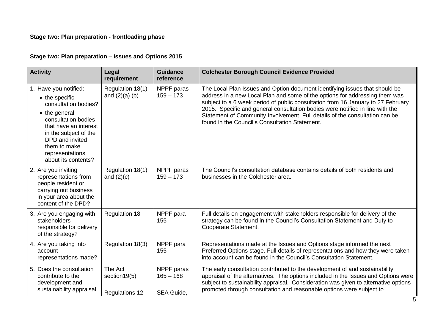### **Stage two: Plan preparation - frontloading phase**

### **Stage two: Plan preparation – Issues and Options 2015**

| <b>Activity</b>                                                                                                                                                                                                                        | Legal<br>requirement                             | <b>Guidance</b><br>reference            | <b>Colchester Borough Council Evidence Provided</b>                                                                                                                                                                                                                                                                                                                                                                                                              |
|----------------------------------------------------------------------------------------------------------------------------------------------------------------------------------------------------------------------------------------|--------------------------------------------------|-----------------------------------------|------------------------------------------------------------------------------------------------------------------------------------------------------------------------------------------------------------------------------------------------------------------------------------------------------------------------------------------------------------------------------------------------------------------------------------------------------------------|
| 1. Have you notified:<br>• the specific<br>consultation bodies?<br>• the general<br>consultation bodies<br>that have an interest<br>in the subject of the<br>DPD and invited<br>them to make<br>representations<br>about its contents? | Regulation 18(1)<br>and $(2)(a)$ (b)             | NPPF paras<br>$159 - 173$               | The Local Plan Issues and Option document identifying issues that should be<br>address in a new Local Plan and some of the options for addressing them was<br>subject to a 6 week period of public consultation from 16 January to 27 February<br>2015. Specific and general consultation bodies were notified in line with the<br>Statement of Community Involvement. Full details of the consultation can be<br>found in the Council's Consultation Statement. |
| 2. Are you inviting<br>representations from<br>people resident or<br>carrying out business<br>in your area about the<br>content of the DPD?                                                                                            | Regulation 18(1)<br>and $(2)(c)$                 | NPPF paras<br>$159 - 173$               | The Council's consultation database contains details of both residents and<br>businesses in the Colchester area.                                                                                                                                                                                                                                                                                                                                                 |
| 3. Are you engaging with<br>stakeholders<br>responsible for delivery<br>of the strategy?                                                                                                                                               | <b>Regulation 18</b>                             | NPPF para<br>155                        | Full details on engagement with stakeholders responsible for delivery of the<br>strategy can be found in the Council's Consultation Statement and Duty to<br>Cooperate Statement.                                                                                                                                                                                                                                                                                |
| 4. Are you taking into<br>account<br>representations made?                                                                                                                                                                             | Regulation 18(3)                                 | NPPF para<br>155                        | Representations made at the Issues and Options stage informed the next<br>Preferred Options stage. Full details of representations and how they were taken<br>into account can be found in the Council's Consultation Statement.                                                                                                                                                                                                                                 |
| 5. Does the consultation<br>contribute to the<br>development and<br>sustainability appraisal                                                                                                                                           | The Act<br>section19(5)<br><b>Regulations 12</b> | NPPF paras<br>$165 - 168$<br>SEA Guide, | The early consultation contributed to the development of and sustainability<br>appraisal of the alternatives. The options included in the Issues and Options were<br>subject to sustainability appraisal. Consideration was given to alternative options<br>promoted through consultation and reasonable options were subject to                                                                                                                                 |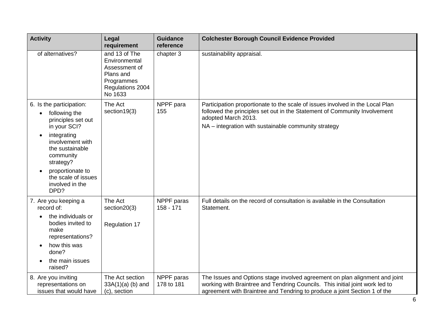| <b>Activity</b>                                                                                                                                                                                                                       | Legal<br>requirement                                                                                      | <b>Guidance</b><br>reference | <b>Colchester Borough Council Evidence Provided</b>                                                                                                                                                                                       |
|---------------------------------------------------------------------------------------------------------------------------------------------------------------------------------------------------------------------------------------|-----------------------------------------------------------------------------------------------------------|------------------------------|-------------------------------------------------------------------------------------------------------------------------------------------------------------------------------------------------------------------------------------------|
| of alternatives?                                                                                                                                                                                                                      | and 13 of The<br>Environmental<br>Assessment of<br>Plans and<br>Programmes<br>Regulations 2004<br>No 1633 | chapter 3                    | sustainability appraisal.                                                                                                                                                                                                                 |
| 6. Is the participation:<br>following the<br>principles set out<br>in your SCI?<br>integrating<br>involvement with<br>the sustainable<br>community<br>strategy?<br>proportionate to<br>the scale of issues<br>involved in the<br>DPD? | The Act<br>section19(3)                                                                                   | NPPF para<br>155             | Participation proportionate to the scale of issues involved in the Local Plan<br>followed the principles set out in the Statement of Community Involvement<br>adopted March 2013.<br>NA - integration with sustainable community strategy |
| 7. Are you keeping a<br>record of:<br>the individuals or<br>bodies invited to<br>make<br>representations?<br>how this was<br>$\bullet$<br>done?<br>the main issues<br>raised?                                                         | The Act<br>section20(3)<br>Regulation 17                                                                  | NPPF paras<br>$158 - 171$    | Full details on the record of consultation is available in the Consultation<br>Statement.                                                                                                                                                 |
| 8. Are you inviting<br>representations on<br>issues that would have                                                                                                                                                                   | The Act section<br>$33A(1)(a)$ (b) and<br>(c), section                                                    | NPPF paras<br>178 to 181     | The Issues and Options stage involved agreement on plan alignment and joint<br>working with Braintree and Tendring Councils. This initial joint work led to<br>agreement with Braintree and Tendring to produce a joint Section 1 of the  |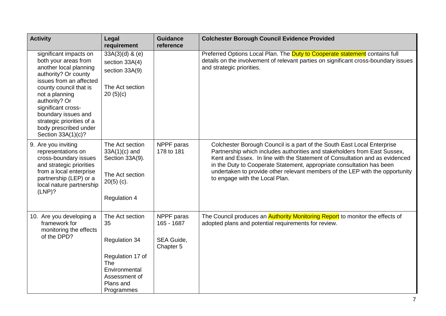| <b>Activity</b>                                                                                                                                                                                                                                                                                                   | Legal<br>requirement                                                                                                                  | <b>Guidance</b><br>reference                        | <b>Colchester Borough Council Evidence Provided</b>                                                                                                                                                                                                                                                                                                                                                                            |
|-------------------------------------------------------------------------------------------------------------------------------------------------------------------------------------------------------------------------------------------------------------------------------------------------------------------|---------------------------------------------------------------------------------------------------------------------------------------|-----------------------------------------------------|--------------------------------------------------------------------------------------------------------------------------------------------------------------------------------------------------------------------------------------------------------------------------------------------------------------------------------------------------------------------------------------------------------------------------------|
| significant impacts on<br>both your areas from<br>another local planning<br>authority? Or county<br>issues from an affected<br>county council that is<br>not a planning<br>authority? Or<br>significant cross-<br>boundary issues and<br>strategic priorities of a<br>body prescribed under<br>Section 33A(1)(c)? | $33A(3)(d)$ & (e)<br>section 33A(4)<br>section 33A(9)<br>The Act section<br>20(5)(c)                                                  |                                                     | Preferred Options Local Plan. The Duty to Cooperate statement contains full<br>details on the involvement of relevant parties on significant cross-boundary issues<br>and strategic priorities.                                                                                                                                                                                                                                |
| 9. Are you inviting<br>representations on<br>cross-boundary issues<br>and strategic priorities<br>from a local enterprise<br>partnership (LEP) or a<br>local nature partnership<br>(LNP)?                                                                                                                         | The Act section<br>$33A(1)(c)$ and<br>Section 33A(9).<br>The Act section<br>$20(5)$ (c).<br><b>Regulation 4</b>                       | NPPF paras<br>178 to 181                            | Colchester Borough Council is a part of the South East Local Enterprise<br>Partnership which includes authorities and stakeholders from East Sussex,<br>Kent and Essex. In line with the Statement of Consultation and as evidenced<br>in the Duty to Cooperate Statement, appropriate consultation has been<br>undertaken to provide other relevant members of the LEP with the opportunity<br>to engage with the Local Plan. |
| 10. Are you developing a<br>framework for<br>monitoring the effects<br>of the DPD?                                                                                                                                                                                                                                | The Act section<br>35<br><b>Regulation 34</b><br>Regulation 17 of<br>The<br>Environmental<br>Assessment of<br>Plans and<br>Programmes | NPPF paras<br>165 - 1687<br>SEA Guide,<br>Chapter 5 | The Council produces an Authority Monitoring Report to monitor the effects of<br>adopted plans and potential requirements for review.                                                                                                                                                                                                                                                                                          |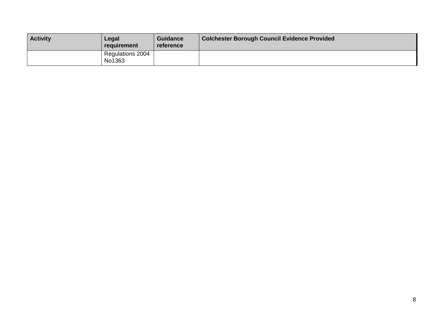| <b>Activity</b> | Legal<br>requirement       | <b>Guidance</b><br>reference | <b>Colchester Borough Council Evidence Provided</b> |
|-----------------|----------------------------|------------------------------|-----------------------------------------------------|
|                 | Regulations 2004<br>No1363 |                              |                                                     |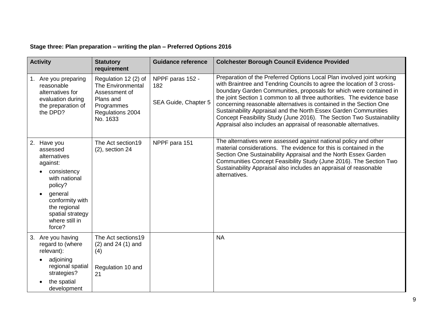## **Stage three: Plan preparation – writing the plan – Preferred Options 2016**

|    | <b>Activity</b>                                                                                                                                                                                        | <b>Statutory</b><br>requirement                                                                                              | <b>Guidance reference</b>                       | <b>Colchester Borough Council Evidence Provided</b>                                                                                                                                                                                                                                                                                                                                                                                                                                                                                                                                    |
|----|--------------------------------------------------------------------------------------------------------------------------------------------------------------------------------------------------------|------------------------------------------------------------------------------------------------------------------------------|-------------------------------------------------|----------------------------------------------------------------------------------------------------------------------------------------------------------------------------------------------------------------------------------------------------------------------------------------------------------------------------------------------------------------------------------------------------------------------------------------------------------------------------------------------------------------------------------------------------------------------------------------|
|    | 1. Are you preparing<br>reasonable<br>alternatives for<br>evaluation during<br>the preparation of<br>the DPD?                                                                                          | Regulation 12 (2) of<br><b>The Environmental</b><br>Assessment of<br>Plans and<br>Programmes<br>Regulations 2004<br>No. 1633 | NPPF paras 152 -<br>182<br>SEA Guide, Chapter 5 | Preparation of the Preferred Options Local Plan involved joint working<br>with Braintree and Tendring Councils to agree the location of 3 cross-<br>boundary Garden Communities, proposals for which were contained in<br>the joint Section 1 common to all three authorities. The evidence base<br>concerning reasonable alternatives is contained in the Section One<br>Sustainability Appraisal and the North Essex Garden Communities<br>Concept Feasibility Study (June 2016). The Section Two Sustainability<br>Appraisal also includes an appraisal of reasonable alternatives. |
| 2. | Have you<br>assessed<br>alternatives<br>against:<br>consistency<br>with national<br>policy?<br>general<br>$\bullet$<br>conformity with<br>the regional<br>spatial strategy<br>where still in<br>force? | The Act section19<br>$(2)$ , section 24                                                                                      | NPPF para 151                                   | The alternatives were assessed against national policy and other<br>material considerations. The evidence for this is contained in the<br>Section One Sustainability Appraisal and the North Essex Garden<br>Communities Concept Feasibility Study (June 2016). The Section Two<br>Sustainability Appraisal also includes an appraisal of reasonable<br>alternatives.                                                                                                                                                                                                                  |
|    | 3. Are you having<br>regard to (where<br>relevant):<br>adjoining<br>regional spatial<br>strategies?<br>the spatial<br>development                                                                      | The Act sections19<br>$(2)$ and 24 $(1)$ and<br>(4)<br>Regulation 10 and<br>21                                               |                                                 | <b>NA</b>                                                                                                                                                                                                                                                                                                                                                                                                                                                                                                                                                                              |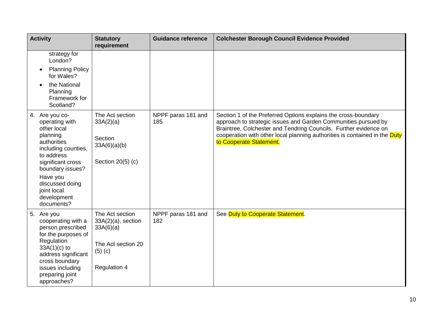| <b>Activity</b>                                                                                                                                                                                                                     | <b>Statutory</b><br>requirement                                                                                   | <b>Guidance reference</b> | <b>Colchester Borough Council Evidence Provided</b>                                                                                                                                                                                                                                                           |
|-------------------------------------------------------------------------------------------------------------------------------------------------------------------------------------------------------------------------------------|-------------------------------------------------------------------------------------------------------------------|---------------------------|---------------------------------------------------------------------------------------------------------------------------------------------------------------------------------------------------------------------------------------------------------------------------------------------------------------|
| strategy for<br>London?<br><b>Planning Policy</b><br>for Wales?<br>the National<br>Planning<br>Framework for<br>Scotland?                                                                                                           |                                                                                                                   |                           |                                                                                                                                                                                                                                                                                                               |
| 4. Are you co-<br>operating with<br>other local<br>planning<br>authorities<br>including counties,<br>to address<br>significant cross<br>boundary issues?<br>Have you<br>discussed doing<br>joint local<br>development<br>documents? | The Act section<br>33A(2)(a)<br>Section<br>33A(6)(a)(b)<br>Section 20(5) (c)                                      | NPPF paras 181 and<br>185 | Section 1 of the Preferred Options explains the cross-boundary<br>approach to strategic issues and Garden Communities pursued by<br>Braintree, Colchester and Tendring Councils. Further evidence on<br>cooperation with other local planning authorities is contained in the Duty<br>to Cooperate Statement. |
| 5. Are you<br>cooperating with a<br>person prescribed<br>for the purposes of<br>Regulation<br>$33A(1)(c)$ to<br>address significant<br>cross boundary<br>issues including<br>preparing joint<br>approaches?                         | The Act section<br>$33A(2)(a)$ , section<br>33A(6)(a)<br>The Act section 20<br>$(5)$ $(c)$<br><b>Regulation 4</b> | NPPF paras 181 and<br>182 | See Duty to Cooperate Statement.                                                                                                                                                                                                                                                                              |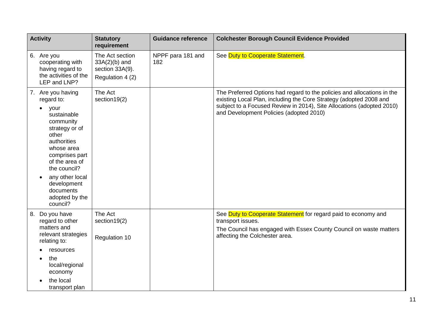| <b>Activity</b>                                                                                                                                                                                                                                              | <b>Statutory</b><br>requirement                                           | <b>Guidance reference</b> | <b>Colchester Borough Council Evidence Provided</b>                                                                                                                                                                                                               |
|--------------------------------------------------------------------------------------------------------------------------------------------------------------------------------------------------------------------------------------------------------------|---------------------------------------------------------------------------|---------------------------|-------------------------------------------------------------------------------------------------------------------------------------------------------------------------------------------------------------------------------------------------------------------|
| 6. Are you<br>cooperating with<br>having regard to<br>the activities of the<br>LEP and LNP?                                                                                                                                                                  | The Act section<br>$33A(2)(b)$ and<br>section 33A(9).<br>Regulation 4 (2) | NPPF para 181 and<br>182  | See Duty to Cooperate Statement.                                                                                                                                                                                                                                  |
| 7. Are you having<br>regard to:<br>your<br>sustainable<br>community<br>strategy or of<br>other<br>authorities<br>whose area<br>comprises part<br>of the area of<br>the council?<br>any other local<br>development<br>documents<br>adopted by the<br>council? | The Act<br>section19(2)                                                   |                           | The Preferred Options had regard to the policies and allocations in the<br>existing Local Plan, including the Core Strategy (adopted 2008 and<br>subject to a Focused Review in 2014), Site Allocations (adopted 2010)<br>and Development Policies (adopted 2010) |
| Do you have<br>8.<br>regard to other<br>matters and<br>relevant strategies<br>relating to:<br>resources<br>the<br>local/regional<br>economy<br>the local<br>transport plan                                                                                   | The Act<br>section19(2)<br>Regulation 10                                  |                           | See Duty to Cooperate Statement for regard paid to economy and<br>transport issues.<br>The Council has engaged with Essex County Council on waste matters<br>affecting the Colchester area.                                                                       |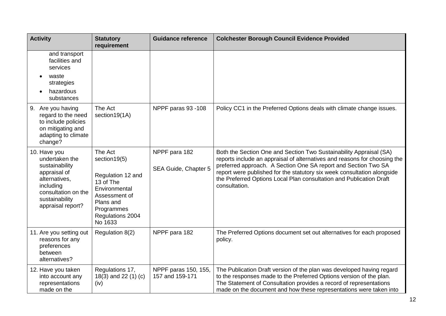| <b>Activity</b>                                                                                                                                              | <b>Statutory</b><br>requirement                                                                                                                       | <b>Guidance reference</b>               | <b>Colchester Borough Council Evidence Provided</b>                                                                                                                                                                                                                                                                                                                                  |
|--------------------------------------------------------------------------------------------------------------------------------------------------------------|-------------------------------------------------------------------------------------------------------------------------------------------------------|-----------------------------------------|--------------------------------------------------------------------------------------------------------------------------------------------------------------------------------------------------------------------------------------------------------------------------------------------------------------------------------------------------------------------------------------|
| and transport<br>facilities and<br>services                                                                                                                  |                                                                                                                                                       |                                         |                                                                                                                                                                                                                                                                                                                                                                                      |
| waste<br>strategies                                                                                                                                          |                                                                                                                                                       |                                         |                                                                                                                                                                                                                                                                                                                                                                                      |
| hazardous<br>substances                                                                                                                                      |                                                                                                                                                       |                                         |                                                                                                                                                                                                                                                                                                                                                                                      |
| 9. Are you having<br>regard to the need<br>to include policies<br>on mitigating and<br>adapting to climate<br>change?                                        | The Act<br>section19(1A)                                                                                                                              | NPPF paras 93 -108                      | Policy CC1 in the Preferred Options deals with climate change issues.                                                                                                                                                                                                                                                                                                                |
| 10. Have you<br>undertaken the<br>sustainability<br>appraisal of<br>alternatives,<br>including<br>consultation on the<br>sustainability<br>appraisal report? | The Act<br>section19(5)<br>Regulation 12 and<br>13 of The<br>Environmental<br>Assessment of<br>Plans and<br>Programmes<br>Regulations 2004<br>No 1633 | NPPF para 182<br>SEA Guide, Chapter 5   | Both the Section One and Section Two Sustainability Appraisal (SA)<br>reports include an appraisal of alternatives and reasons for choosing the<br>preferred approach. A Section One SA report and Section Two SA<br>report were published for the statutory six week consultation alongside<br>the Preferred Options Local Plan consultation and Publication Draft<br>consultation. |
| 11. Are you setting out<br>reasons for any<br>preferences<br>between<br>alternatives?                                                                        | Regulation 8(2)                                                                                                                                       | NPPF para 182                           | The Preferred Options document set out alternatives for each proposed<br>policy.                                                                                                                                                                                                                                                                                                     |
| 12. Have you taken<br>into account any<br>representations<br>made on the                                                                                     | Regulations 17,<br>18(3) and 22 (1) (c)<br>(iv)                                                                                                       | NPPF paras 150, 155,<br>157 and 159-171 | The Publication Draft version of the plan was developed having regard<br>to the responses made to the Preferred Options version of the plan.<br>The Statement of Consultation provides a record of representations<br>made on the document and how these representations were taken into                                                                                             |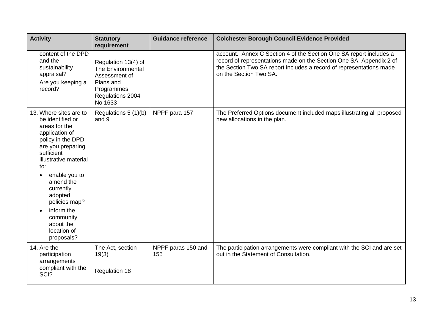| <b>Activity</b>                                                                                                                                                                                                                                                                                                    | <b>Statutory</b><br>requirement                                                                                     | <b>Guidance reference</b> | <b>Colchester Borough Council Evidence Provided</b>                                                                                                                                                                                        |
|--------------------------------------------------------------------------------------------------------------------------------------------------------------------------------------------------------------------------------------------------------------------------------------------------------------------|---------------------------------------------------------------------------------------------------------------------|---------------------------|--------------------------------------------------------------------------------------------------------------------------------------------------------------------------------------------------------------------------------------------|
| content of the DPD<br>and the<br>sustainability<br>appraisal?<br>Are you keeping a<br>record?                                                                                                                                                                                                                      | Regulation 13(4) of<br>The Environmental<br>Assessment of<br>Plans and<br>Programmes<br>Regulations 2004<br>No 1633 |                           | account. Annex C Section 4 of the Section One SA report includes a<br>record of representations made on the Section One SA. Appendix 2 of<br>the Section Two SA report includes a record of representations made<br>on the Section Two SA. |
| 13. Where sites are to<br>be identified or<br>areas for the<br>application of<br>policy in the DPD,<br>are you preparing<br>sufficient<br>illustrative material<br>to:<br>enable you to<br>amend the<br>currently<br>adopted<br>policies map?<br>inform the<br>community<br>about the<br>location of<br>proposals? | Regulations 5 (1)(b)<br>and 9                                                                                       | NPPF para 157             | The Preferred Options document included maps illustrating all proposed<br>new allocations in the plan.                                                                                                                                     |
| 14. Are the<br>participation<br>arrangements<br>compliant with the<br>SCI?                                                                                                                                                                                                                                         | The Act, section<br>19(3)<br><b>Regulation 18</b>                                                                   | NPPF paras 150 and<br>155 | The participation arrangements were compliant with the SCI and are set<br>out in the Statement of Consultation.                                                                                                                            |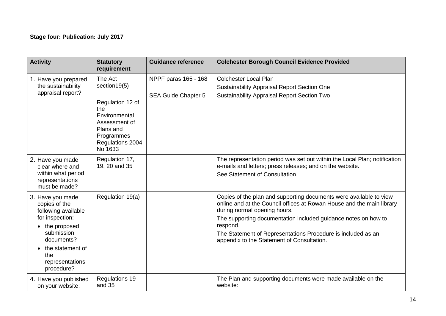| <b>Activity</b>                                                                                                                                                                                  | <b>Statutory</b><br>requirement                                                                                                                | <b>Guidance reference</b>                          | <b>Colchester Borough Council Evidence Provided</b>                                                                                                                                                                                                                                                                                                                     |
|--------------------------------------------------------------------------------------------------------------------------------------------------------------------------------------------------|------------------------------------------------------------------------------------------------------------------------------------------------|----------------------------------------------------|-------------------------------------------------------------------------------------------------------------------------------------------------------------------------------------------------------------------------------------------------------------------------------------------------------------------------------------------------------------------------|
| 1. Have you prepared<br>the sustainability<br>appraisal report?                                                                                                                                  | The Act<br>section19(5)<br>Regulation 12 of<br>the<br>Environmental<br>Assessment of<br>Plans and<br>Programmes<br>Regulations 2004<br>No 1633 | NPPF paras 165 - 168<br><b>SEA Guide Chapter 5</b> | <b>Colchester Local Plan</b><br><b>Sustainability Appraisal Report Section One</b><br><b>Sustainability Appraisal Report Section Two</b>                                                                                                                                                                                                                                |
| 2. Have you made<br>clear where and<br>within what period<br>representations<br>must be made?                                                                                                    | Regulation 17,<br>19, 20 and 35                                                                                                                |                                                    | The representation period was set out within the Local Plan; notification<br>e-mails and letters; press releases; and on the website.<br>See Statement of Consultation                                                                                                                                                                                                  |
| 3. Have you made<br>copies of the<br>following available<br>for inspection:<br>the proposed<br>submission<br>documents?<br>the statement of<br>$\bullet$<br>the<br>representations<br>procedure? | Regulation 19(a)                                                                                                                               |                                                    | Copies of the plan and supporting documents were available to view<br>online and at the Council offices at Rowan House and the main library<br>during normal opening hours.<br>The supporting documentation included guidance notes on how to<br>respond.<br>The Statement of Representations Procedure is included as an<br>appendix to the Statement of Consultation. |
| 4. Have you published<br>on your website:                                                                                                                                                        | <b>Regulations 19</b><br>and 35                                                                                                                |                                                    | The Plan and supporting documents were made available on the<br>website:                                                                                                                                                                                                                                                                                                |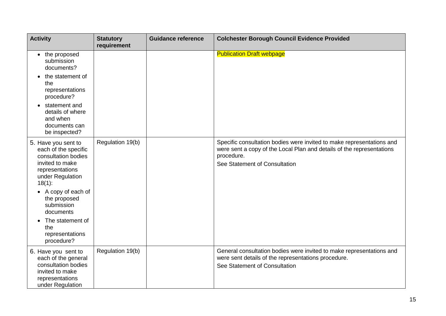| <b>Activity</b>                                                                                                                                                                                                                                                         | <b>Statutory</b><br>requirement | <b>Guidance reference</b> | <b>Colchester Borough Council Evidence Provided</b>                                                                                                                                           |
|-------------------------------------------------------------------------------------------------------------------------------------------------------------------------------------------------------------------------------------------------------------------------|---------------------------------|---------------------------|-----------------------------------------------------------------------------------------------------------------------------------------------------------------------------------------------|
| the proposed<br>$\bullet$<br>submission<br>documents?                                                                                                                                                                                                                   |                                 |                           | <b>Publication Draft webpage</b>                                                                                                                                                              |
| the statement of<br>$\bullet$<br>the<br>representations<br>procedure?                                                                                                                                                                                                   |                                 |                           |                                                                                                                                                                                               |
| statement and<br>$\bullet$<br>details of where<br>and when<br>documents can<br>be inspected?                                                                                                                                                                            |                                 |                           |                                                                                                                                                                                               |
| 5. Have you sent to<br>each of the specific<br>consultation bodies<br>invited to make<br>representations<br>under Regulation<br>$18(1)$ :<br>• A copy of each of<br>the proposed<br>submission<br>documents<br>The statement of<br>the<br>representations<br>procedure? | Regulation 19(b)                |                           | Specific consultation bodies were invited to make representations and<br>were sent a copy of the Local Plan and details of the representations<br>procedure.<br>See Statement of Consultation |
| 6. Have you sent to<br>each of the general<br>consultation bodies<br>invited to make<br>representations<br>under Regulation                                                                                                                                             | Regulation 19(b)                |                           | General consultation bodies were invited to make representations and<br>were sent details of the representations procedure.<br>See Statement of Consultation                                  |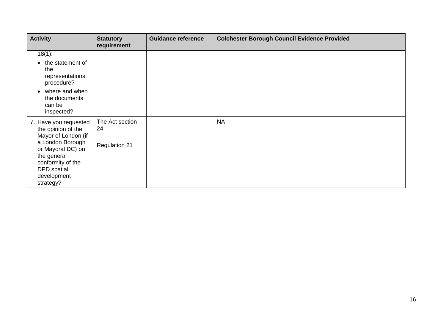| <b>Activity</b>                                                                                                                                                                                   | <b>Statutory</b><br>requirement               | <b>Guidance reference</b> | <b>Colchester Borough Council Evidence Provided</b> |
|---------------------------------------------------------------------------------------------------------------------------------------------------------------------------------------------------|-----------------------------------------------|---------------------------|-----------------------------------------------------|
| $18(1)$ :<br>the statement of<br>the<br>representations<br>procedure?<br>where and when<br>the documents<br>can be<br>inspected?                                                                  |                                               |                           |                                                     |
| 7. Have you requested<br>the opinion of the<br>Mayor of London (if<br>a London Borough<br>or Mayoral DC) on<br>the general<br>conformity of the<br><b>DPD</b> spatial<br>development<br>strategy? | The Act section<br>24<br><b>Regulation 21</b> |                           | <b>NA</b>                                           |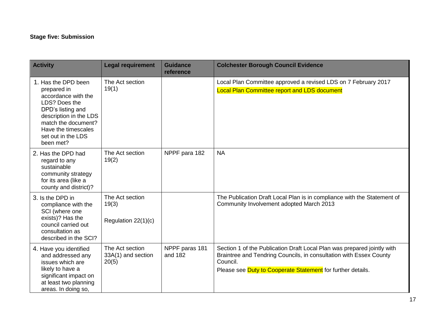### **Stage five: Submission**

| <b>Activity</b>                                                                                                                                                                                            | <b>Legal requirement</b>                          | <b>Guidance</b><br>reference | <b>Colchester Borough Council Evidence</b>                                                                                                                                                                               |
|------------------------------------------------------------------------------------------------------------------------------------------------------------------------------------------------------------|---------------------------------------------------|------------------------------|--------------------------------------------------------------------------------------------------------------------------------------------------------------------------------------------------------------------------|
| 1. Has the DPD been<br>prepared in<br>accordance with the<br>LDS? Does the<br>DPD's listing and<br>description in the LDS<br>match the document?<br>Have the timescales<br>set out in the LDS<br>been met? | The Act section<br>19(1)                          |                              | Local Plan Committee approved a revised LDS on 7 February 2017<br><b>Local Plan Committee report and LDS document</b>                                                                                                    |
| 2. Has the DPD had<br>regard to any<br>sustainable<br>community strategy<br>for its area (like a<br>county and district)?                                                                                  | The Act section<br>19(2)                          | NPPF para 182                | <b>NA</b>                                                                                                                                                                                                                |
| 3. Is the DPD in<br>compliance with the<br>SCI (where one<br>exists)? Has the<br>council carried out<br>consultation as<br>described in the SCI?                                                           | The Act section<br>19(3)<br>Regulation $22(1)(c)$ |                              | The Publication Draft Local Plan is in compliance with the Statement of<br>Community Involvement adopted March 2013                                                                                                      |
| 4. Have you identified<br>and addressed any<br>issues which are<br>likely to have a<br>significant impact on<br>at least two planning<br>areas. In doing so,                                               | The Act section<br>33A(1) and section<br>20(5)    | NPPF paras 181<br>and 182    | Section 1 of the Publication Draft Local Plan was prepared jointly with<br>Braintree and Tendring Councils, in consultation with Essex County<br>Council.<br>Please see Duty to Cooperate Statement for further details. |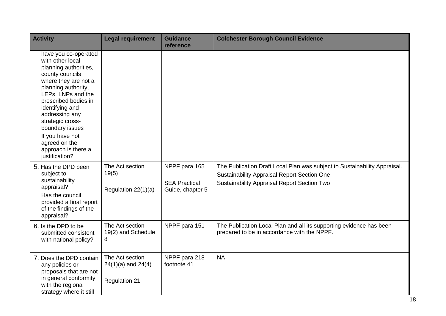| <b>Activity</b>                                                                                                                                                                                                                                                                                                                            | <b>Legal requirement</b>                                          | <b>Guidance</b><br>reference                              | <b>Colchester Borough Council Evidence</b>                                                                                                                                            |
|--------------------------------------------------------------------------------------------------------------------------------------------------------------------------------------------------------------------------------------------------------------------------------------------------------------------------------------------|-------------------------------------------------------------------|-----------------------------------------------------------|---------------------------------------------------------------------------------------------------------------------------------------------------------------------------------------|
| have you co-operated<br>with other local<br>planning authorities,<br>county councils<br>where they are not a<br>planning authority,<br>LEPs, LNPs and the<br>prescribed bodies in<br>identifying and<br>addressing any<br>strategic cross-<br>boundary issues<br>If you have not<br>agreed on the<br>approach is there a<br>justification? |                                                                   |                                                           |                                                                                                                                                                                       |
| 5. Has the DPD been<br>subject to<br>sustainability<br>appraisal?<br>Has the council<br>provided a final report<br>of the findings of the<br>appraisal?                                                                                                                                                                                    | The Act section<br>19(5)<br>Regulation 22(1)(a)                   | NPPF para 165<br><b>SEA Practical</b><br>Guide, chapter 5 | The Publication Draft Local Plan was subject to Sustainability Appraisal.<br><b>Sustainability Appraisal Report Section One</b><br><b>Sustainability Appraisal Report Section Two</b> |
| 6. Is the DPD to be<br>submitted consistent<br>with national policy?                                                                                                                                                                                                                                                                       | The Act section<br>19(2) and Schedule<br>8                        | NPPF para 151                                             | The Publication Local Plan and all its supporting evidence has been<br>prepared to be in accordance with the NPPF.                                                                    |
| 7. Does the DPD contain<br>any policies or<br>proposals that are not<br>in general conformity<br>with the regional<br>strategy where it still                                                                                                                                                                                              | The Act section<br>$24(1)(a)$ and $24(4)$<br><b>Regulation 21</b> | NPPF para 218<br>footnote 41                              | <b>NA</b>                                                                                                                                                                             |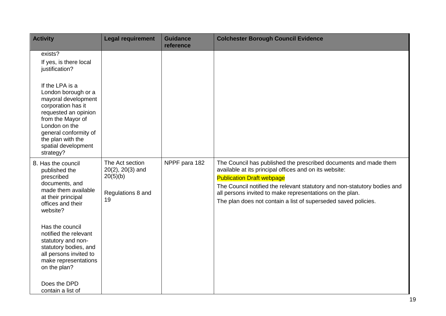| <b>Activity</b>                                                                                                                                                                                                                                                                            | <b>Legal requirement</b>                                                        | <b>Guidance</b><br>reference | <b>Colchester Borough Council Evidence</b>                                                                                                                                                                                                                                                                                                                               |
|--------------------------------------------------------------------------------------------------------------------------------------------------------------------------------------------------------------------------------------------------------------------------------------------|---------------------------------------------------------------------------------|------------------------------|--------------------------------------------------------------------------------------------------------------------------------------------------------------------------------------------------------------------------------------------------------------------------------------------------------------------------------------------------------------------------|
| exists?<br>If yes, is there local<br>justification?<br>If the LPA is a<br>London borough or a<br>mayoral development<br>corporation has it<br>requested an opinion<br>from the Mayor of<br>London on the<br>general conformity of<br>the plan with the<br>spatial development<br>strategy? |                                                                                 |                              |                                                                                                                                                                                                                                                                                                                                                                          |
| 8. Has the council<br>published the<br>prescribed<br>documents, and<br>made them available<br>at their principal<br>offices and their<br>website?                                                                                                                                          | The Act section<br>$20(2)$ , $20(3)$ and<br>20(5)(b)<br>Regulations 8 and<br>19 | NPPF para 182                | The Council has published the prescribed documents and made them<br>available at its principal offices and on its website:<br><b>Publication Draft webpage</b><br>The Council notified the relevant statutory and non-statutory bodies and<br>all persons invited to make representations on the plan.<br>The plan does not contain a list of superseded saved policies. |
| Has the council<br>notified the relevant<br>statutory and non-<br>statutory bodies, and<br>all persons invited to<br>make representations<br>on the plan?                                                                                                                                  |                                                                                 |                              |                                                                                                                                                                                                                                                                                                                                                                          |
| Does the DPD<br>contain a list of                                                                                                                                                                                                                                                          |                                                                                 |                              |                                                                                                                                                                                                                                                                                                                                                                          |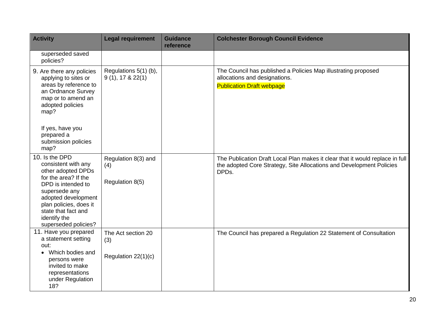| <b>Activity</b>                                                                                                                                                                                                                            | <b>Legal requirement</b>                         | <b>Guidance</b><br>reference | <b>Colchester Borough Council Evidence</b>                                                                                                                     |
|--------------------------------------------------------------------------------------------------------------------------------------------------------------------------------------------------------------------------------------------|--------------------------------------------------|------------------------------|----------------------------------------------------------------------------------------------------------------------------------------------------------------|
| superseded saved<br>policies?                                                                                                                                                                                                              |                                                  |                              |                                                                                                                                                                |
| 9. Are there any policies<br>applying to sites or<br>areas by reference to<br>an Ordnance Survey<br>map or to amend an<br>adopted policies<br>map?                                                                                         | Regulations 5(1) (b),<br>9(1), 17 & 22(1)        |                              | The Council has published a Policies Map illustrating proposed<br>allocations and designations.<br><b>Publication Draft webpage</b>                            |
| If yes, have you<br>prepared a<br>submission policies<br>map?                                                                                                                                                                              |                                                  |                              |                                                                                                                                                                |
| 10. Is the DPD<br>consistent with any<br>other adopted DPDs<br>for the area? If the<br>DPD is intended to<br>supersede any<br>adopted development<br>plan policies, does it<br>state that fact and<br>identify the<br>superseded policies? | Regulation 8(3) and<br>(4)<br>Regulation 8(5)    |                              | The Publication Draft Local Plan makes it clear that it would replace in full<br>the adopted Core Strategy, Site Allocations and Development Policies<br>DPDs. |
| 11. Have you prepared<br>a statement setting<br>out:<br>Which bodies and<br>persons were<br>invited to make<br>representations<br>under Regulation<br>18?                                                                                  | The Act section 20<br>(3)<br>Regulation 22(1)(c) |                              | The Council has prepared a Regulation 22 Statement of Consultation                                                                                             |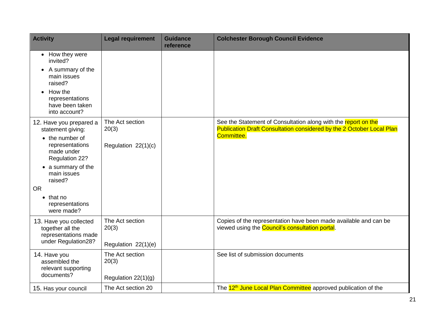| <b>Activity</b>                                                                                                    | <b>Legal requirement</b>                        | <b>Guidance</b><br>reference | <b>Colchester Borough Council Evidence</b>                                                                                                                   |
|--------------------------------------------------------------------------------------------------------------------|-------------------------------------------------|------------------------------|--------------------------------------------------------------------------------------------------------------------------------------------------------------|
| How they were<br>$\bullet$<br>invited?                                                                             |                                                 |                              |                                                                                                                                                              |
| A summary of the<br>$\bullet$<br>main issues<br>raised?                                                            |                                                 |                              |                                                                                                                                                              |
| How the<br>representations<br>have been taken<br>into account?                                                     |                                                 |                              |                                                                                                                                                              |
| 12. Have you prepared a<br>statement giving:<br>• the number of<br>representations<br>made under<br>Regulation 22? | The Act section<br>20(3)<br>Regulation 22(1)(c) |                              | See the Statement of Consultation along with the report on the<br>Publication Draft Consultation considered by the 2 October Local Plan<br><b>Committee.</b> |
| • a summary of the<br>main issues<br>raised?                                                                       |                                                 |                              |                                                                                                                                                              |
| <b>OR</b>                                                                                                          |                                                 |                              |                                                                                                                                                              |
| $\bullet$ that no<br>representations<br>were made?                                                                 |                                                 |                              |                                                                                                                                                              |
| 13. Have you collected<br>together all the<br>representations made<br>under Regulation28?                          | The Act section<br>20(3)<br>Regulation 22(1)(e) |                              | Copies of the representation have been made available and can be<br>viewed using the <b>Council's consultation portal</b> .                                  |
|                                                                                                                    |                                                 |                              |                                                                                                                                                              |
| 14. Have you<br>assembled the<br>relevant supporting                                                               | The Act section<br>20(3)                        |                              | See list of submission documents                                                                                                                             |
| documents?                                                                                                         | Regulation 22(1)(g)                             |                              |                                                                                                                                                              |
| 15. Has your council                                                                                               | The Act section 20                              |                              | The 12 <sup>th</sup> June Local Plan Committee approved publication of the                                                                                   |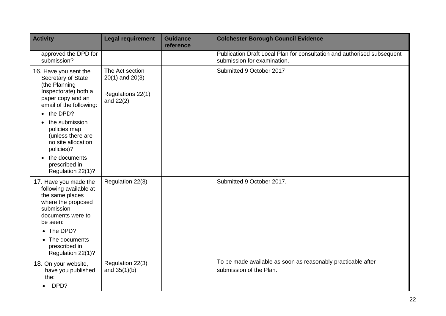| <b>Activity</b>                                                                                                                                                                                                                                                               | <b>Legal requirement</b>                                                   | <b>Guidance</b><br>reference | <b>Colchester Borough Council Evidence</b>                                                             |
|-------------------------------------------------------------------------------------------------------------------------------------------------------------------------------------------------------------------------------------------------------------------------------|----------------------------------------------------------------------------|------------------------------|--------------------------------------------------------------------------------------------------------|
| approved the DPD for<br>submission?                                                                                                                                                                                                                                           |                                                                            |                              | Publication Draft Local Plan for consultation and authorised subsequent<br>submission for examination. |
| 16. Have you sent the<br>Secretary of State<br>(the Planning<br>Inspectorate) both a<br>paper copy and an<br>email of the following:<br>the DPD?<br>the submission<br>policies map<br>(unless there are<br>no site allocation<br>policies)?<br>the documents<br>prescribed in | The Act section<br>$20(1)$ and $20(3)$<br>Regulations 22(1)<br>and $22(2)$ |                              | Submitted 9 October 2017                                                                               |
| Regulation 22(1)?<br>17. Have you made the<br>following available at<br>the same places<br>where the proposed<br>submission<br>documents were to<br>be seen:<br>• The DPD?<br>• The documents<br>prescribed in<br>Regulation 22(1)?                                           | Regulation 22(3)                                                           |                              | Submitted 9 October 2017.                                                                              |
| 18. On your website,<br>have you published<br>the:<br>$\bullet$ DPD?                                                                                                                                                                                                          | Regulation 22(3)<br>and $35(1)(b)$                                         |                              | To be made available as soon as reasonably practicable after<br>submission of the Plan.                |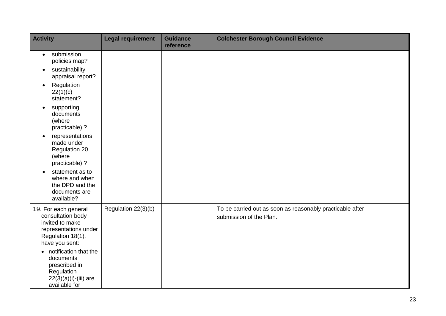| <b>Activity</b>                                                                                                              | <b>Legal requirement</b> | <b>Guidance</b><br>reference | <b>Colchester Borough Council Evidence</b>                                           |
|------------------------------------------------------------------------------------------------------------------------------|--------------------------|------------------------------|--------------------------------------------------------------------------------------|
| submission<br>$\bullet$<br>policies map?                                                                                     |                          |                              |                                                                                      |
| sustainability<br>$\bullet$<br>appraisal report?                                                                             |                          |                              |                                                                                      |
| Regulation<br>$\bullet$<br>22(1)(c)<br>statement?                                                                            |                          |                              |                                                                                      |
| supporting<br>$\bullet$<br>documents<br>(where<br>practicable) ?                                                             |                          |                              |                                                                                      |
| representations<br>$\bullet$<br>made under<br>Regulation 20<br>(where<br>practicable) ?                                      |                          |                              |                                                                                      |
| statement as to<br>$\bullet$<br>where and when<br>the DPD and the<br>documents are<br>available?                             |                          |                              |                                                                                      |
| 19. For each general<br>consultation body<br>invited to make<br>representations under<br>Regulation 18(1),<br>have you sent: | Regulation 22(3)(b)      |                              | To be carried out as soon as reasonably practicable after<br>submission of the Plan. |
| notification that the<br>$\bullet$<br>documents<br>prescribed in<br>Regulation<br>$22(3)(a)(i)-(iii)$ are<br>available for   |                          |                              |                                                                                      |